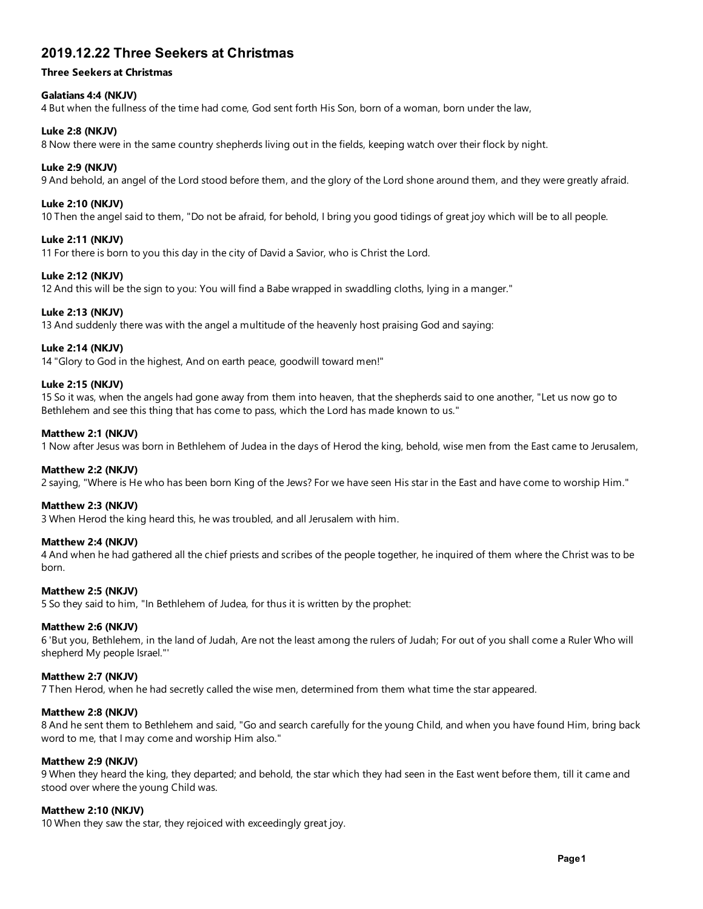# 2019.12.22 Three Seekers at Christmas

# Three Seekers at Christmas

# Galatians 4:4 (NKJV)

4 But when the fullness of the time had come, God sent forth His Son, born of a woman, born under the law,

## Luke 2:8 (NKJV)

8 Now there were in the same country shepherds living out in the fields, keeping watch over their flock by night.

## Luke 2:9 (NKJV)

9 And behold, an angel of the Lord stood before them, and the glory of the Lord shone around them, and they were greatly afraid.

# Luke 2:10 (NKJV)

10 Then the angel said to them, "Do not be afraid, for behold, I bring you good tidings of great joy which will be to all people.

# Luke 2:11 (NKJV)

11 For there is born to you this day in the city of David a Savior, who is Christ the Lord.

## Luke 2:12 (NKJV)

12 And this will be the sign to you: You will find a Babe wrapped in swaddling cloths, lying in a manger."

# Luke 2:13 (NKJV)

13 And suddenly there was with the angel a multitude of the heavenly host praising God and saying:

# Luke 2:14 (NKJV)

14 "Glory to God in the highest, And on earth peace, goodwill toward men!"

## Luke 2:15 (NKJV)

15 So it was, when the angels had gone away from them into heaven, that the shepherds said to one another, "Let us now go to Bethlehem and see this thing that has come to pass, which the Lord has made known to us."

## Matthew 2:1 (NKJV)

1 Now after Jesus was born in Bethlehem of Judea in the days of Herod the king, behold, wise men from the East came to Jerusalem,

#### Matthew 2:2 (NKJV)

2 saying, "Where is He who has been born King of the Jews? For we have seen His star in the East and have come to worship Him."

#### Matthew 2:3 (NKJV)

3 When Herod the king heard this, he was troubled, and all Jerusalem with him.

#### Matthew 2:4 (NKJV)

4 And when he had gathered all the chief priests and scribes of the people together, he inquired of them where the Christ was to be born.

#### Matthew 2:5 (NKJV)

5 So they said to him, "In Bethlehem of Judea, for thus it is written by the prophet:

#### Matthew 2:6 (NKJV)

6 'But you, Bethlehem, in the land of Judah, Are not the least among the rulers of Judah; For out of you shall come a Ruler Who will shepherd My people Israel."'

# Matthew 2:7 (NKJV)

7 Then Herod, when he had secretly called the wise men, determined from them what time the star appeared.

## Matthew 2:8 (NKJV)

8 And he sent them to Bethlehem and said, "Go and search carefully for the young Child, and when you have found Him, bring back word to me, that I may come and worship Him also."

#### Matthew 2:9 (NKJV)

9 When they heard the king, they departed; and behold, the star which they had seen in the East went before them, till it came and stood over where the young Child was.

#### Matthew 2:10 (NKJV)

10 When they saw the star, they rejoiced with exceedingly great joy.